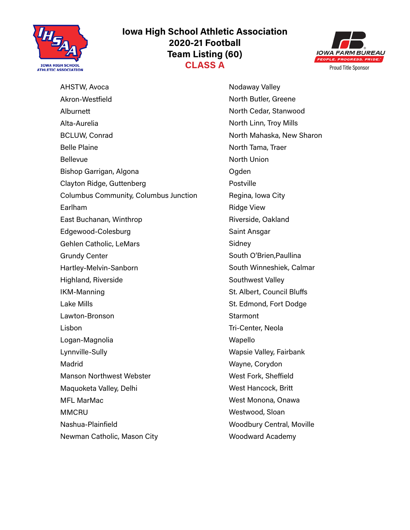

# **Iowa High School Athletic Association 2020-21 Football Team Listing (60) CLASS A** PEOPLE PROGRESS. PRIDE.



AHSTW, Avoca Akron-Westfield Alburnett Alta-Aurelia BCLUW, Conrad Belle Plaine Bellevue Bishop Garrigan, Algona Clayton Ridge, Guttenberg Columbus Community, Columbus Junction Earlham East Buchanan, Winthrop Edgewood-Colesburg Gehlen Catholic, LeMars Grundy Center Hartley-Melvin-Sanborn Highland, Riverside IKM-Manning Lake Mills Lawton-Bronson Lisbon Logan-Magnolia Lynnville-Sully Madrid Manson Northwest Webster Maquoketa Valley, Delhi MFL MarMac **MMCRU** Nashua-Plainfield Newman Catholic, Mason City

Nodaway Valley North Butler, Greene North Cedar, Stanwood North Linn, Troy Mills North Mahaska, New Sharon North Tama, Traer North Union Ogden Postville Regina, Iowa City Ridge View Riverside, Oakland Saint Ansgar Sidney South O'Brien,Paullina South Winneshiek, Calmar Southwest Valley St. Albert, Council Bluffs St. Edmond, Fort Dodge **Starmont** Tri-Center, Neola Wapello Wapsie Valley, Fairbank Wayne, Corydon West Fork, Sheffield West Hancock, Britt West Monona, Onawa Westwood, Sloan Woodbury Central, Moville Woodward Academy